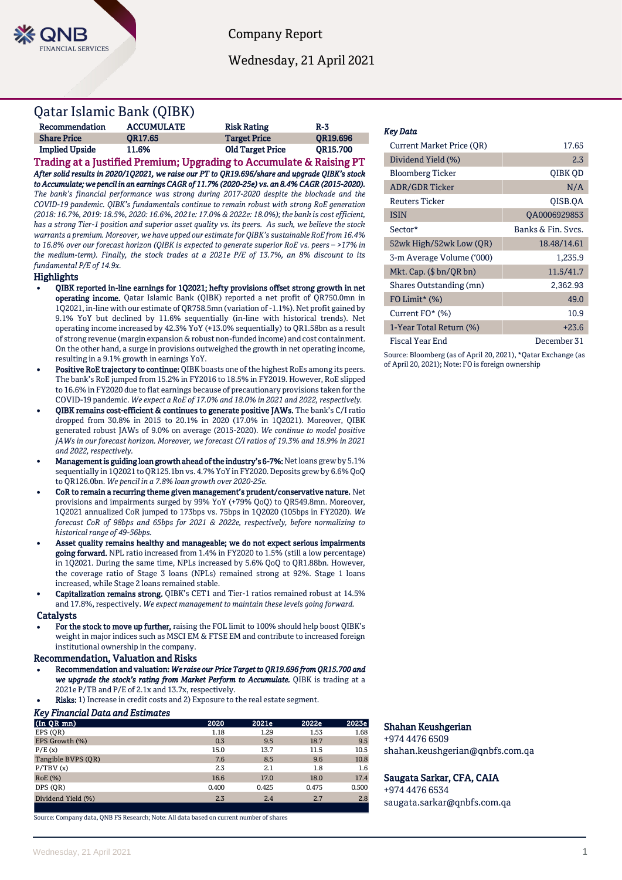

Company Report

Wednesday, 21 April 2021

# Qatar Islamic Bank (QIBK)

| Recommendation        | <b>ACCUMULATE</b> | <b>Risk Rating</b>      | $R-3$           |
|-----------------------|-------------------|-------------------------|-----------------|
| <b>Share Price</b>    | OR17.65           | <b>Target Price</b>     | <b>OR19.696</b> |
| <b>Implied Upside</b> | 11.6%             | <b>Old Target Price</b> | <b>OR15.700</b> |

Trading at a Justified Premium; Upgrading to Accumulate & Raising PT *After solid results in 2020/1Q2021, we raise our PT to QR19.696/share and upgrade QIBK's stock to Accumulate; we pencil in an earnings CAGR of 11.7% (2020-25e) vs. an 8.4% CAGR (2015-2020). The bank's financial performance was strong during 2017-2020 despite the blockade and the COVID-19 pandemic. QIBK's fundamentals continue to remain robust with strong RoE generation (2018: 16.7%, 2019: 18.5%, 2020: 16.6%, 2021e: 17.0% & 2022e: 18.0%); the bank is cost efficient, has a strong Tier-1 position and superior asset quality vs. its peers. As such, we believe the stock warrants a premium. Moreover, we have upped our estimate for QIBK's sustainable RoE from 16.4% to 16.8% over our forecast horizon (QIBK is expected to generate superior RoE vs. peers – >17% in the medium-term). Finally, the stock trades at a 2021e P/E of 13.7%, an 8% discount to its fundamental P/E of 14.9x.* 

### **Highlights**

- QIBK reported in-line earnings for 1Q2021; hefty provisions offset strong growth in net operating income. Qatar Islamic Bank (QIBK) reported a net profit of QR750.0mn in 1Q2021, in-line with our estimate of QR758.5mn (variation of -1.1%). Net profit gained by 9.1% YoY but declined by 11.6% sequentially (in-line with historical trends). Net operating income increased by 42.3% YoY (+13.0% sequentially) to QR1.58bn as a result of strong revenue (margin expansion & robust non-funded income) and cost containment. On the other hand, a surge in provisions outweighed the growth in net operating income, resulting in a 9.1% growth in earnings YoY.
- Positive RoE trajectory to continue: QIBK boasts one of the highest RoEs among its peers. The bank's RoE jumped from 15.2% in FY2016 to 18.5% in FY2019. However, RoE slipped to 16.6% in FY2020 due to flat earnings because of precautionary provisions taken for the COVID-19 pandemic. *We expect a RoE of 17.0% and 18.0% in 2021 and 2022, respectively.*
- QIBK remains cost-efficient & continues to generate positive JAWs. The bank's C/I ratio dropped from 30.8% in 2015 to 20.1% in 2020 (17.0% in 1Q2021). Moreover, QIBK generated robust JAWs of 9.0% on average (2015-2020). *We continue to model positive JAWs in our forecast horizon. Moreover, we forecast C/I ratios of 19.3% and 18.9% in 2021 and 2022, respectively.*
- Management is guiding loan growth ahead of the industry's 6-7%: Net loans grew by 5.1% sequentially in 1Q2021 to QR125.1bn vs. 4.7% YoY in FY2020. Deposits grew by 6.6% QoQ to QR126.0bn. *We pencil in a 7.8% loan growth over 2020-25e.*
- CoR to remain a recurring theme given management's prudent/conservative nature. Net provisions and impairments surged by 99% YoY (+79% QoQ) to QR549.8mn. Moreover, 1Q2021 annualized CoR jumped to 173bps vs. 75bps in 1Q2020 (105bps in FY2020). *We forecast CoR of 98bps and 65bps for 2021 & 2022e, respectively, before normalizing to historical range of 49-56bps.*
- Asset quality remains healthy and manageable; we do not expect serious impairments going forward. NPL ratio increased from 1.4% in FY2020 to 1.5% (still a low percentage) in 1Q2021. During the same time, NPLs increased by 5.6% QoQ to QR1.88bn. However, the coverage ratio of Stage 3 loans (NPLs) remained strong at 92%. Stage 1 loans increased, while Stage 2 loans remained stable.
- Capitalization remains strong. QIBK's CET1 and Tier-1 ratios remained robust at 14.5% and 17.8%, respectively. *We expect management to maintain these levels going forward.*

### **Catalysts**

For the stock to move up further, raising the FOL limit to 100% should help boost QIBK's weight in major indices such as MSCI EM & FTSE EM and contribute to increased foreign institutional ownership in the company.

## Recommendation, Valuation and Risks

 Recommendation and valuation: *We raise our Price Target to QR19.696 from QR15.700 and we upgrade the stock's rating from Market Perform to Accumulate.* QIBK is trading at a 2021e P/TB and P/E of 2.1x and 13.7x, respectively.

Risks: 1) Increase in credit costs and 2) Exposure to the real estate segment.

# *Key Financial Data and Estimates*

| $(In QR$ $mn)$     | 2020  | 2021e | 2022e | 2023e |
|--------------------|-------|-------|-------|-------|
| EPS (OR)           | 1.18  | 1.29  | 1.53  | 1.68  |
| EPS Growth (%)     | 0.3   | 9.5   | 18.7  | 9.5   |
| P/E(x)             | 15.0  | 13.7  | 11.5  | 10.5  |
| Tangible BVPS (OR) | 7.6   | 8.5   | 9.6   | 10.8  |
| P/TBV(x)           | 2.3   | 2.1   | 1.8   | 1.6   |
| RoE (%)            | 16.6  | 17.0  | 18.0  | 17.4  |
| DPS (OR)           | 0.400 | 0.425 | 0.475 | 0.500 |
| Dividend Yield (%) | 2.3   | 2.4   | 2.7   | 2.8   |
|                    |       |       |       |       |

Source: Company data, QNB FS Research; Note: All data based on current number of shares

# *Key Data*

| Current Market Price (OR) | 17.65              |
|---------------------------|--------------------|
| Dividend Yield (%)        | 2.3                |
| <b>Bloomberg Ticker</b>   | OIBK OD            |
| <b>ADR/GDR Ticker</b>     | N/A                |
| <b>Reuters Ticker</b>     | OISB.OA            |
| <b>ISIN</b>               | QA0006929853       |
| Sector*                   | Banks & Fin. Svcs. |
| 52wk High/52wk Low (QR)   | 18.48/14.61        |
| 3-m Average Volume ('000) | 1,235.9            |
| Mkt. Cap. (\$ bn/QR bn)   | 11.5/41.7          |
| Shares Outstanding (mn)   | 2,362.93           |
| FO Limit* $(\%)$          | 49.0               |
| Current FO* (%)           | 10.9               |
| 1-Year Total Return (%)   | $+23.6$            |
| Fiscal Year End           | December 31        |

Source: Bloomberg (as of April 20, 2021), \*Qatar Exchange (as of April 20, 2021); Note: FO is foreign ownership

# Shahan Keushgerian

+974 4476 6509 shahan.keushgerian@qnbfs.com.qa

# Saugata Sarkar, CFA, CAIA

+974 4476 6534 saugata.sarkar@qnbfs.com.qa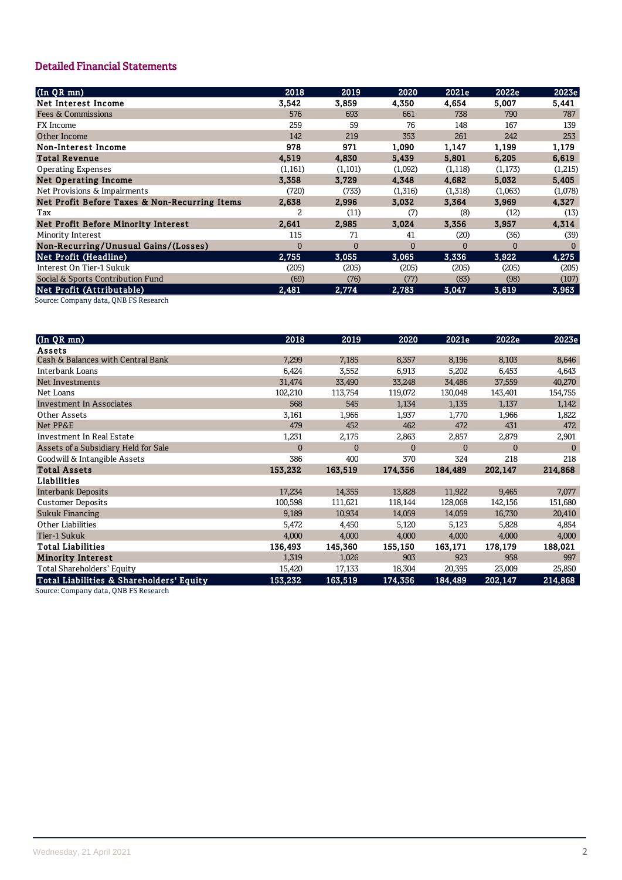# **Detailed Financial Statements**

| $(\ln Q\overline{R}$ mn)                      | 2018           | 2019         | 2020     | 2021e    | 2022e    | 2023e   |
|-----------------------------------------------|----------------|--------------|----------|----------|----------|---------|
| Net Interest Income                           | 3,542          | 3,859        | 4,350    | 4,654    | 5,007    | 5,441   |
| Fees & Commissions                            | 576            | 693          | 661      | 738      | 790      | 787     |
| FX Income                                     | 259            | 59           | 76       | 148      | 167      | 139     |
| Other Income                                  | 142            | 219          | 353      | 261      | 242      | 253     |
| Non-Interest Income                           | 978            | 971          | 1,090    | 1,147    | 1,199    | 1,179   |
| <b>Total Revenue</b>                          | 4,519          | 4,830        | 5,439    | 5,801    | 6,205    | 6,619   |
| <b>Operating Expenses</b>                     | (1, 161)       | (1,101)      | (1,092)  | (1, 118) | (1, 173) | (1,215) |
| <b>Net Operating Income</b>                   | 3,358          | 3,729        | 4,348    | 4,682    | 5,032    | 5,405   |
| Net Provisions & Impairments                  | (720)          | (733)        | (1,316)  | (1,318)  | (1,063)  | (1,078) |
| Net Profit Before Taxes & Non-Recurring Items | 2,638          | 2,996        | 3,032    | 3,364    | 3,969    | 4,327   |
| Tax                                           | 2              | (11)         | (7)      | (8)      | (12)     | (13)    |
| Net Profit Before Minority Interest           | 2.641          | 2.985        | 3.024    | 3.356    | 3.957    | 4,314   |
| Minority Interest                             | 115            | 71           | 41       | (20)     | (36)     | (39)    |
| Non-Recurring/Unusual Gains/(Losses)          | $\overline{0}$ | $\mathbf{0}$ | $\Omega$ |          | $\Omega$ |         |
| Net Profit (Headline)                         | 2,755          | 3,055        | 3,065    | 3,336    | 3,922    | 4,275   |
| Interest On Tier-1 Sukuk                      | (205)          | (205)        | (205)    | (205)    | (205)    | (205)   |
| Social & Sports Contribution Fund             | (69)           | (76)         | (77)     | (83)     | (98)     | (107)   |
| Net Profit (Attributable)                     | 2,481          | 2,774        | 2,783    | 3,047    | 3,619    | 3,963   |
|                                               |                |              |          |          |          |         |

Source: Company data, QNB FS Research

| $($ In QR mn $)$                         | 2018           | 2019         | 2020           | 2021e        | 2022e        | 2023e        |
|------------------------------------------|----------------|--------------|----------------|--------------|--------------|--------------|
| Assets                                   |                |              |                |              |              |              |
| Cash & Balances with Central Bank        | 7,299          | 7,185        | 8,357          | 8,196        | 8,103        | 8,646        |
| Interbank Loans                          | 6,424          | 3,552        | 6,913          | 5,202        | 6,453        | 4,643        |
| Net Investments                          | 31,474         | 33,490       | 33,248         | 34,486       | 37,559       | 40,270       |
| Net Loans                                | 102,210        | 113,754      | 119,072        | 130,048      | 143,401      | 154,755      |
| <b>Investment In Associates</b>          | 568            | 545          | 1,134          | 1,135        | 1,137        | 1,142        |
| Other Assets                             | 3,161          | 1,966        | 1,937          | 1,770        | 1,966        | 1,822        |
| Net PP&E                                 | 479            | 452          | 462            | 472          | 431          | 472          |
| Investment In Real Estate                | 1,231          | 2,175        | 2,863          | 2,857        | 2,879        | 2,901        |
| Assets of a Subsidiary Held for Sale     | $\overline{0}$ | $\mathbf{0}$ | $\overline{0}$ | $\mathbf{0}$ | $\mathbf{0}$ | $\mathbf{0}$ |
| Goodwill & Intangible Assets             | 386            | 400          | 370            | 324          | 218          | 218          |
| <b>Total Assets</b>                      | 153,232        | 163,519      | 174,356        | 184,489      | 202,147      | 214,868      |
| Liabilities                              |                |              |                |              |              |              |
| <b>Interbank Deposits</b>                | 17,234         | 14,355       | 13,828         | 11,922       | 9,465        | 7,077        |
| <b>Customer Deposits</b>                 | 100,598        | 111,621      | 118,144        | 128,068      | 142,156      | 151,680      |
| <b>Sukuk Financing</b>                   | 9,189          | 10,934       | 14,059         | 14,059       | 16,730       | 20,410       |
| Other Liabilities                        | 5,472          | 4,450        | 5,120          | 5,123        | 5,828        | 4,854        |
| Tier-1 Sukuk                             | 4,000          | 4,000        | 4,000          | 4,000        | 4,000        | 4,000        |
| <b>Total Liabilities</b>                 | 136,493        | 145,360      | 155,150        | 163,171      | 178,179      | 188,021      |
| <b>Minority Interest</b>                 | 1,319          | 1,026        | 903            | 923          | 958          | 997          |
| Total Shareholders' Equity               | 15,420         | 17,133       | 18,304         | 20,395       | 23,009       | 25,850       |
| Total Liabilities & Shareholders' Equity | 153,232        | 163,519      | 174,356        | 184,489      | 202,147      | 214,868      |

Source: Company data, QNB FS Research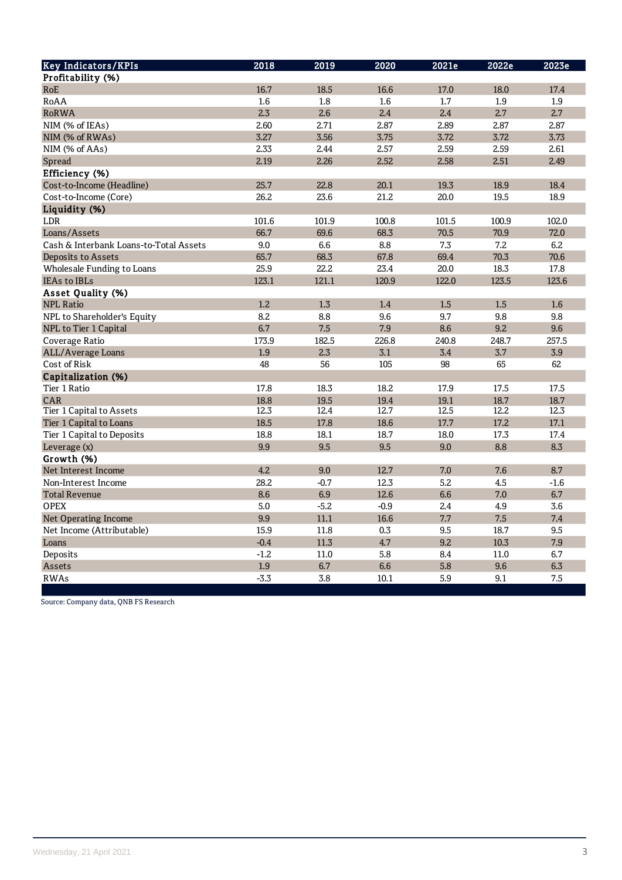| <b>Key Indicators/KPIs</b>             | 2018   | $\overline{2019}$ | 2020   | 2021e | 2022e    | 2023e  |
|----------------------------------------|--------|-------------------|--------|-------|----------|--------|
| Profitability (%)                      |        |                   |        |       |          |        |
| RoE                                    | 16.7   | 18.5              | 16.6   | 17.0  | 18.0     | 17.4   |
| RoAA                                   | 1.6    | 1.8               | 1.6    | 1.7   | 1.9      | 1.9    |
| <b>RoRWA</b>                           | 2.3    | 2.6               | 2.4    | 2.4   | 2.7      | 2.7    |
| NIM (% of IEAs)                        | 2.60   | 2.71              | 2.87   | 2.89  | 2.87     | 2.87   |
| NIM (% of RWAs)                        | 3.27   | 3.56              | 3.75   | 3.72  | 3.72     | 3.73   |
| NIM (% of AAs)                         | 2.33   | 2.44              | 2.57   | 2.59  | 2.59     | 2.61   |
| Spread                                 | 2.19   | 2.26              | 2.52   | 2.58  | 2.51     | 2.49   |
| Efficiency (%)                         |        |                   |        |       |          |        |
| Cost-to-Income (Headline)              | 25.7   | 22.8              | 20.1   | 19.3  | 18.9     | 18.4   |
| Cost-to-Income (Core)                  | 26.2   | 23.6              | 21.2   | 20.0  | 19.5     | 18.9   |
| Liquidity (%)                          |        |                   |        |       |          |        |
| LDR                                    | 101.6  | 101.9             | 100.8  | 101.5 | 100.9    | 102.0  |
| Loans/Assets                           | 66.7   | 69.6              | 68.3   | 70.5  | 70.9     | 72.0   |
| Cash & Interbank Loans-to-Total Assets | 9.0    | 6.6               | 8.8    | 7.3   | 7.2      | 6.2    |
| Deposits to Assets                     | 65.7   | 68.3              | 67.8   | 69.4  | 70.3     | 70.6   |
| Wholesale Funding to Loans             | 25.9   | 22.2              | 23.4   | 20.0  | 18.3     | 17.8   |
| <b>IEAs to IBLs</b>                    | 123.1  | 121.1             | 120.9  | 122.0 | 123.5    | 123.6  |
| Asset Quality (%)                      |        |                   |        |       |          |        |
| <b>NPL Ratio</b>                       | 1.2    | 1.3               | 1.4    | 1.5   | 1.5      | 1.6    |
| NPL to Shareholder's Equity            | 8.2    | 8.8               | 9.6    | 9.7   | 9.8      | 9.8    |
| NPL to Tier 1 Capital                  | 6.7    | 7.5               | 7.9    | 8.6   | 9.2      | 9.6    |
| Coverage Ratio                         | 173.9  | 182.5             | 226.8  | 240.8 | 248.7    | 257.5  |
| ALL/Average Loans                      | 1.9    | 2.3               | 3.1    | 3.4   | 3.7      | 3.9    |
| Cost of Risk                           | 48     | 56                | 105    | 98    | 65       | 62     |
| Capitalization (%)                     |        |                   |        |       |          |        |
| Tier 1 Ratio                           | 17.8   | 18.3              | 18.2   | 17.9  | 17.5     | 17.5   |
| CAR                                    | 18.8   | 19.5              | 19.4   | 19.1  | 18.7     | 18.7   |
| Tier 1 Capital to Assets               | 12.3   | 12.4              | 12.7   | 12.5  | 12.2     | 12.3   |
| Tier 1 Capital to Loans                | 18.5   | 17.8              | 18.6   | 17.7  | 17.2     | 17.1   |
| Tier 1 Capital to Deposits             | 18.8   | 18.1              | 18.7   | 18.0  | 17.3     | 17.4   |
| Leverage (x)                           | 9.9    | 9.5               | 9.5    | 9.0   | 8.8      | 8.3    |
| Growth (%)                             |        |                   |        |       |          |        |
| Net Interest Income                    | 4.2    | 9.0               | 12.7   | 7.0   | 7.6      | 8.7    |
| Non-Interest Income                    | 28.2   | $-0.7$            | 12.3   | 5.2   | 4.5      | $-1.6$ |
| <b>Total Revenue</b>                   | 8.6    | 6.9               | 12.6   | 6.6   | 7.0      | 6.7    |
| <b>OPEX</b>                            | 5.0    | $-5.2$            | $-0.9$ | 2.4   | 4.9      | 3.6    |
| <b>Net Operating Income</b>            | 9.9    | 11.1              | 16.6   | 7.7   | 7.5      | 7.4    |
| Net Income (Attributable)              | 15.9   | 11.8              | 0.3    | 9.5   | 18.7     | 9.5    |
| Loans                                  | $-0.4$ | 11.3              | 4.7    | 9.2   | 10.3     | 7.9    |
| Deposits                               | $-1.2$ | 11.0              | 5.8    | 8.4   | $11.0\,$ | 6.7    |
| Assets                                 | 1.9    | 6.7               | 6.6    | 5.8   | 9.6      | 6.3    |
| <b>RWAs</b>                            | $-3.3$ | 3.8               | 10.1   | 5.9   | 9.1      | 7.5    |

Source: Company data, QNB FS Research